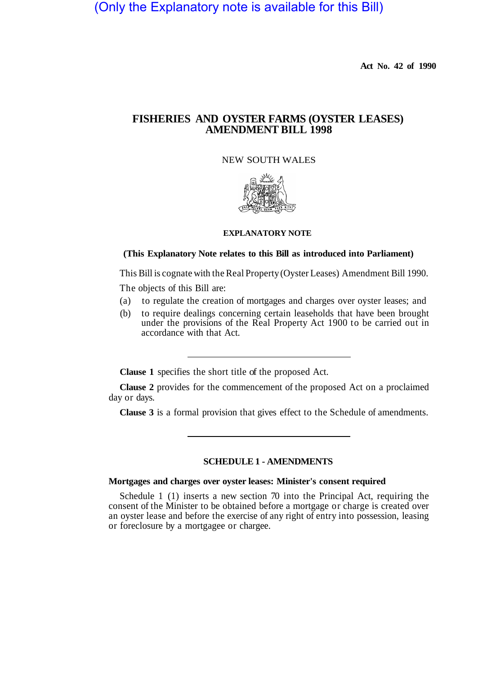# (Only the Explanatory note is available for this Bill)

**Act No. 42 of 1990** 

# **FISHERIES AND OYSTER FARMS (OYSTER LEASES) AMENDMENT BILL 1998**

# NEW SOUTH WALES



# **EXPLANATORY NOTE**

#### **(This Explanatory Note relates to this Bill as introduced into Parliament)**

This Bill is cognate with the Real Property (Oyster Leases) Amendment Bill 1990.

The objects of this Bill are:

- (a) to regulate the creation of mortgages and charges over oyster leases; and
- (b) to require dealings concerning certain leaseholds that have been brought under the provisions of the Real Property Act 1900 to be carried out in accordance with that Act.

**Clause 1** specifies the short title of the proposed Act.

**Clause 2** provides for the commencement of the proposed Act on a proclaimed day or days.

**Clause 3** is a formal provision that gives effect to the Schedule of amendments.

# **SCHEDULE 1 - AMENDMENTS**

#### **Mortgages and charges over oyster leases: Minister's consent required**

Schedule 1 (1) inserts a new section 70 into the Principal Act, requiring the consent of the Minister to be obtained before a mortgage or charge is created over an oyster lease and before the exercise of any right of entry into possession, leasing or foreclosure by a mortgagee or chargee.